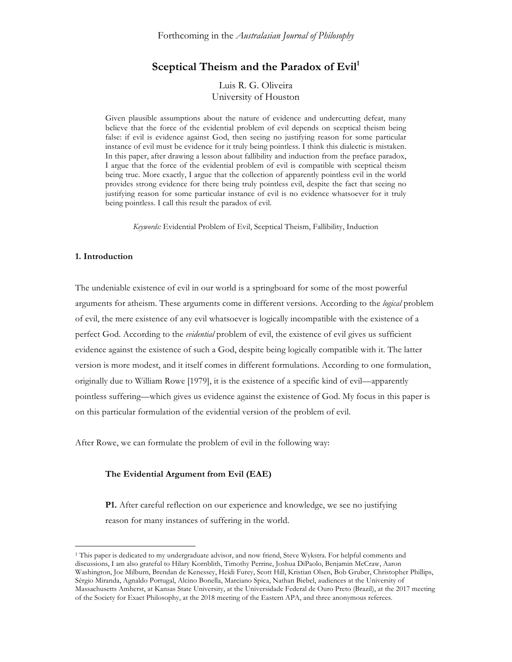# Sceptical Theism and the Paradox of Evil<sup>1</sup>

Luis R. G. Oliveira University of Houston

Given plausible assumptions about the nature of evidence and undercutting defeat, many believe that the force of the evidential problem of evil depends on sceptical theism being false: if evil is evidence against God, then seeing no justifying reason for some particular instance of evil must be evidence for it truly being pointless. I think this dialectic is mistaken. In this paper, after drawing a lesson about fallibility and induction from the preface paradox, I argue that the force of the evidential problem of evil is compatible with sceptical theism being true. More exactly, I argue that the collection of apparently pointless evil in the world provides strong evidence for there being truly pointless evil, despite the fact that seeing no justifying reason for some particular instance of evil is no evidence whatsoever for it truly being pointless. I call this result the paradox of evil.

*Keywords:* Evidential Problem of Evil, Sceptical Theism, Fallibility, Induction

### **1. Introduction**

 $\overline{a}$ 

The undeniable existence of evil in our world is a springboard for some of the most powerful arguments for atheism. These arguments come in different versions. According to the *logical* problem of evil, the mere existence of any evil whatsoever is logically incompatible with the existence of a perfect God. According to the *evidential* problem of evil, the existence of evil gives us sufficient evidence against the existence of such a God, despite being logically compatible with it. The latter version is more modest, and it itself comes in different formulations. According to one formulation, originally due to William Rowe [1979], it is the existence of a specific kind of evil—apparently pointless suffering—which gives us evidence against the existence of God. My focus in this paper is on this particular formulation of the evidential version of the problem of evil.

After Rowe, we can formulate the problem of evil in the following way:

## **The Evidential Argument from Evil (EAE)**

**P1.** After careful reflection on our experience and knowledge, we see no justifying reason for many instances of suffering in the world.

<sup>1</sup> This paper is dedicated to my undergraduate advisor, and now friend, Steve Wykstra. For helpful comments and discussions, I am also grateful to Hilary Kornblith, Timothy Perrine, Joshua DiPaolo, Benjamin McCraw, Aaron Washington, Joe Milburn, Brendan de Kenessey, Heidi Furey, Scott Hill, Kristian Olsen, Bob Gruber, Christopher Phillips, Sérgio Miranda, Agnaldo Portugal, Alcino Bonella, Marciano Spica, Nathan Biebel, audiences at the University of Massachusetts Amherst, at Kansas State University, at the Universidade Federal de Ouro Preto (Brazil), at the 2017 meeting of the Society for Exact Philosophy, at the 2018 meeting of the Eastern APA, and three anonymous referees.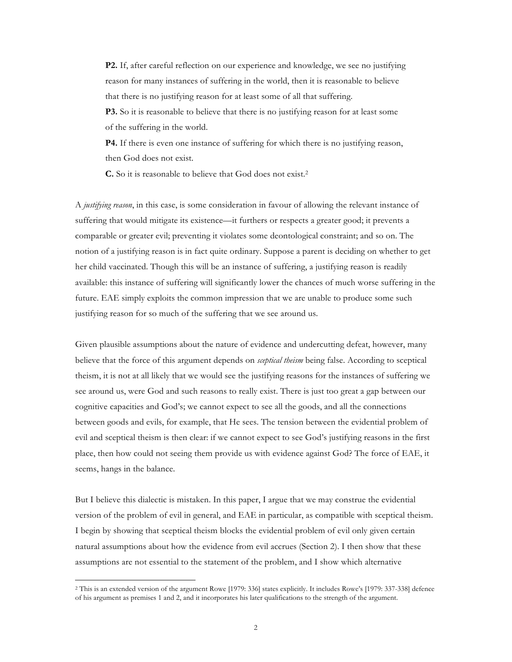**P2.** If, after careful reflection on our experience and knowledge, we see no justifying reason for many instances of suffering in the world, then it is reasonable to believe that there is no justifying reason for at least some of all that suffering.

**P3.** So it is reasonable to believe that there is no justifying reason for at least some of the suffering in the world.

**P4.** If there is even one instance of suffering for which there is no justifying reason, then God does not exist.

**C.** So it is reasonable to believe that God does not exist.2

A *justifying reason*, in this case, is some consideration in favour of allowing the relevant instance of suffering that would mitigate its existence—it furthers or respects a greater good; it prevents a comparable or greater evil; preventing it violates some deontological constraint; and so on. The notion of a justifying reason is in fact quite ordinary. Suppose a parent is deciding on whether to get her child vaccinated. Though this will be an instance of suffering, a justifying reason is readily available: this instance of suffering will significantly lower the chances of much worse suffering in the future. EAE simply exploits the common impression that we are unable to produce some such justifying reason for so much of the suffering that we see around us.

Given plausible assumptions about the nature of evidence and undercutting defeat, however, many believe that the force of this argument depends on *sceptical theism* being false. According to sceptical theism, it is not at all likely that we would see the justifying reasons for the instances of suffering we see around us, were God and such reasons to really exist. There is just too great a gap between our cognitive capacities and God's; we cannot expect to see all the goods, and all the connections between goods and evils, for example, that He sees. The tension between the evidential problem of evil and sceptical theism is then clear: if we cannot expect to see God's justifying reasons in the first place, then how could not seeing them provide us with evidence against God? The force of EAE, it seems, hangs in the balance.

But I believe this dialectic is mistaken. In this paper, I argue that we may construe the evidential version of the problem of evil in general, and EAE in particular, as compatible with sceptical theism. I begin by showing that sceptical theism blocks the evidential problem of evil only given certain natural assumptions about how the evidence from evil accrues (Section 2). I then show that these assumptions are not essential to the statement of the problem, and I show which alternative

<sup>2</sup> This is an extended version of the argument Rowe [1979: 336] states explicitly. It includes Rowe's [1979: 337-338] defence of his argument as premises 1 and 2, and it incorporates his later qualifications to the strength of the argument.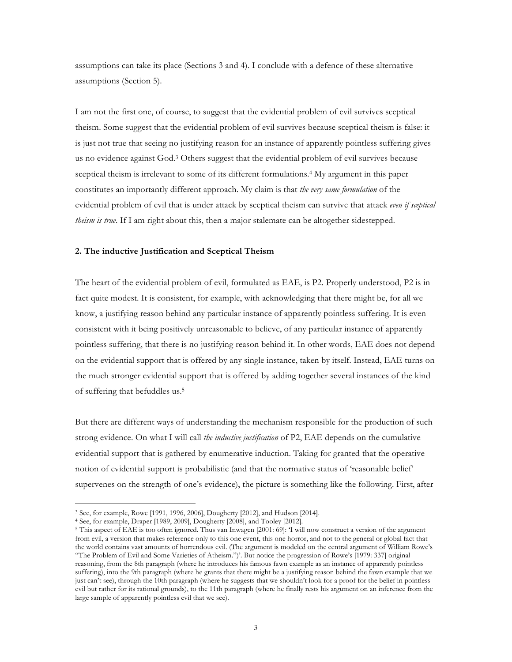assumptions can take its place (Sections 3 and 4). I conclude with a defence of these alternative assumptions (Section 5).

I am not the first one, of course, to suggest that the evidential problem of evil survives sceptical theism. Some suggest that the evidential problem of evil survives because sceptical theism is false: it is just not true that seeing no justifying reason for an instance of apparently pointless suffering gives us no evidence against God.3 Others suggest that the evidential problem of evil survives because sceptical theism is irrelevant to some of its different formulations.4 My argument in this paper constitutes an importantly different approach. My claim is that *the very same formulation* of the evidential problem of evil that is under attack by sceptical theism can survive that attack *even if sceptical theism is true*. If I am right about this, then a major stalemate can be altogether sidestepped.

#### **2. The inductive Justification and Sceptical Theism**

The heart of the evidential problem of evil, formulated as EAE, is P2. Properly understood, P2 is in fact quite modest. It is consistent, for example, with acknowledging that there might be, for all we know, a justifying reason behind any particular instance of apparently pointless suffering. It is even consistent with it being positively unreasonable to believe, of any particular instance of apparently pointless suffering, that there is no justifying reason behind it. In other words, EAE does not depend on the evidential support that is offered by any single instance, taken by itself. Instead, EAE turns on the much stronger evidential support that is offered by adding together several instances of the kind of suffering that befuddles us.5

But there are different ways of understanding the mechanism responsible for the production of such strong evidence. On what I will call *the inductive justification* of P2, EAE depends on the cumulative evidential support that is gathered by enumerative induction. Taking for granted that the operative notion of evidential support is probabilistic (and that the normative status of 'reasonable belief' supervenes on the strength of one's evidence), the picture is something like the following. First, after

<sup>3</sup> See, for example, Rowe [1991, 1996, 2006], Dougherty [2012], and Hudson [2014].

<sup>4</sup> See, for example, Draper [1989, 2009], Dougherty [2008], and Tooley [2012].

<sup>5</sup> This aspect of EAE is too often ignored. Thus van Inwagen [2001: 69]: 'I will now construct a version of the argument from evil, a version that makes reference only to this one event, this one horror, and not to the general or global fact that the world contains vast amounts of horrendous evil. (The argument is modeled on the central argument of William Rowe's "The Problem of Evil and Some Varieties of Atheism.")'. But notice the progression of Rowe's [1979: 337] original reasoning, from the 8th paragraph (where he introduces his famous fawn example as an instance of apparently pointless suffering), into the 9th paragraph (where he grants that there might be a justifying reason behind the fawn example that we just can't see), through the 10th paragraph (where he suggests that we shouldn't look for a proof for the belief in pointless evil but rather for its rational grounds), to the 11th paragraph (where he finally rests his argument on an inference from the large sample of apparently pointless evil that we see).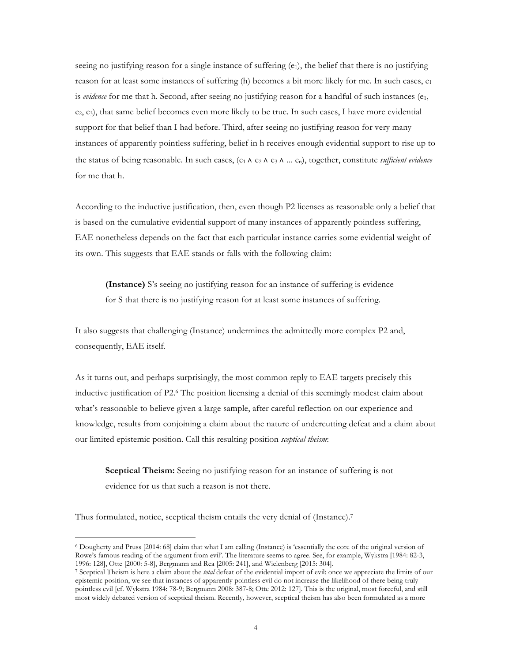seeing no justifying reason for a single instance of suffering (e<sub>1</sub>), the belief that there is no justifying reason for at least some instances of suffering (h) becomes a bit more likely for me. In such cases,  $e_1$ is *evidence* for me that h. Second, after seeing no justifying reason for a handful of such instances  $(e_1, e_2)$  $(e_2, e_3)$ , that same belief becomes even more likely to be true. In such cases, I have more evidential support for that belief than I had before. Third, after seeing no justifying reason for very many instances of apparently pointless suffering, belief in h receives enough evidential support to rise up to the status of being reasonable. In such cases, (e1 ∧ e2 ∧ e3 ∧ ... en), together, constitute *sufficient evidence* for me that h.

According to the inductive justification, then, even though P2 licenses as reasonable only a belief that is based on the cumulative evidential support of many instances of apparently pointless suffering, EAE nonetheless depends on the fact that each particular instance carries some evidential weight of its own. This suggests that EAE stands or falls with the following claim:

**(Instance)** S's seeing no justifying reason for an instance of suffering is evidence for S that there is no justifying reason for at least some instances of suffering.

It also suggests that challenging (Instance) undermines the admittedly more complex P2 and, consequently, EAE itself.

As it turns out, and perhaps surprisingly, the most common reply to EAE targets precisely this inductive justification of P2.6 The position licensing a denial of this seemingly modest claim about what's reasonable to believe given a large sample, after careful reflection on our experience and knowledge, results from conjoining a claim about the nature of undercutting defeat and a claim about our limited epistemic position. Call this resulting position *sceptical theism*:

**Sceptical Theism:** Seeing no justifying reason for an instance of suffering is not evidence for us that such a reason is not there.

Thus formulated, notice, sceptical theism entails the very denial of (Instance).<sup>7</sup>

<sup>6</sup> Dougherty and Pruss [2014: 68] claim that what I am calling (Instance) is 'essentially the core of the original version of Rowe's famous reading of the argument from evil'. The literature seems to agree. See, for example, Wykstra [1984: 82-3, 1996: 128], Otte [2000: 5-8], Bergmann and Rea [2005: 241], and Wielenberg [2015: 304].

<sup>7</sup> Sceptical Theism is here a claim about the *total* defeat of the evidential import of evil: once we appreciate the limits of our epistemic position, we see that instances of apparently pointless evil do not increase the likelihood of there being truly pointless evil [cf. Wykstra 1984: 78-9; Bergmann 2008: 387-8; Otte 2012: 127]. This is the original, most forceful, and still most widely debated version of sceptical theism. Recently, however, sceptical theism has also been formulated as a more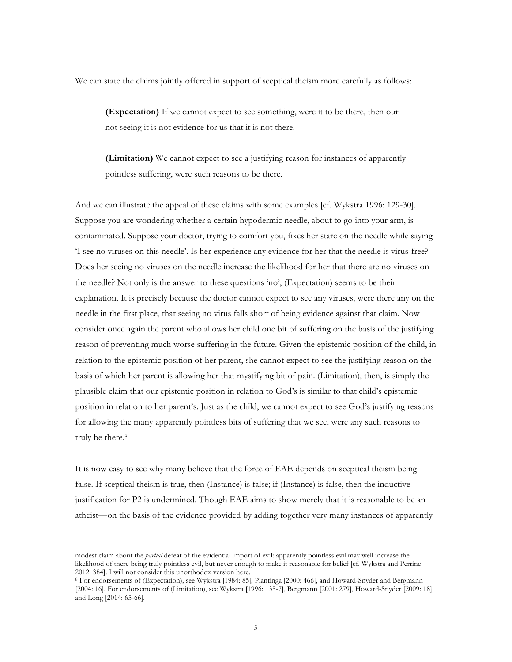We can state the claims jointly offered in support of sceptical theism more carefully as follows:

**(Expectation)** If we cannot expect to see something, were it to be there, then our not seeing it is not evidence for us that it is not there.

**(Limitation)** We cannot expect to see a justifying reason for instances of apparently pointless suffering, were such reasons to be there.

And we can illustrate the appeal of these claims with some examples [cf. Wykstra 1996: 129-30]. Suppose you are wondering whether a certain hypodermic needle, about to go into your arm, is contaminated. Suppose your doctor, trying to comfort you, fixes her stare on the needle while saying 'I see no viruses on this needle'. Is her experience any evidence for her that the needle is virus-free? Does her seeing no viruses on the needle increase the likelihood for her that there are no viruses on the needle? Not only is the answer to these questions 'no', (Expectation) seems to be their explanation. It is precisely because the doctor cannot expect to see any viruses, were there any on the needle in the first place, that seeing no virus falls short of being evidence against that claim. Now consider once again the parent who allows her child one bit of suffering on the basis of the justifying reason of preventing much worse suffering in the future. Given the epistemic position of the child, in relation to the epistemic position of her parent, she cannot expect to see the justifying reason on the basis of which her parent is allowing her that mystifying bit of pain. (Limitation), then, is simply the plausible claim that our epistemic position in relation to God's is similar to that child's epistemic position in relation to her parent's. Just as the child, we cannot expect to see God's justifying reasons for allowing the many apparently pointless bits of suffering that we see, were any such reasons to truly be there.<sup>8</sup>

It is now easy to see why many believe that the force of EAE depends on sceptical theism being false. If sceptical theism is true, then (Instance) is false; if (Instance) is false, then the inductive justification for P2 is undermined. Though EAE aims to show merely that it is reasonable to be an atheist—on the basis of the evidence provided by adding together very many instances of apparently

modest claim about the *partial* defeat of the evidential import of evil: apparently pointless evil may well increase the likelihood of there being truly pointless evil, but never enough to make it reasonable for belief [cf. Wykstra and Perrine 2012: 384]. I will not consider this unorthodox version here.

<sup>8</sup> For endorsements of (Expectation), see Wykstra [1984: 85], Plantinga [2000: 466], and Howard-Snyder and Bergmann [2004: 16]. For endorsements of (Limitation), see Wykstra [1996: 135-7], Bergmann [2001: 279], Howard-Snyder [2009: 18], and Long [2014: 65-66].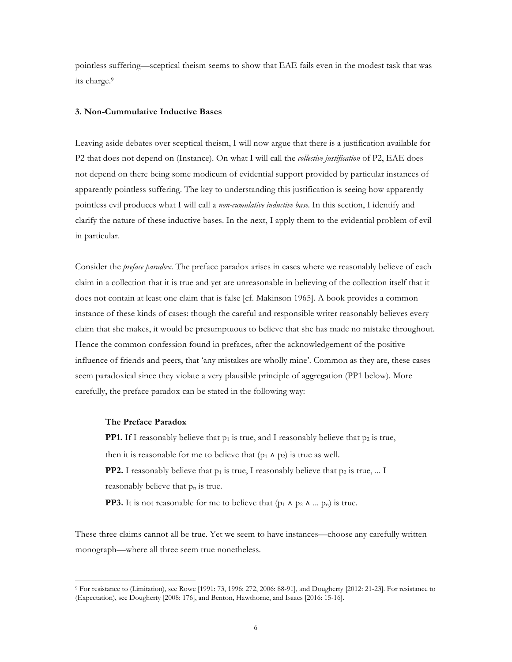pointless suffering—sceptical theism seems to show that EAE fails even in the modest task that was its charge.9

#### **3. Non-Cummulative Inductive Bases**

Leaving aside debates over sceptical theism, I will now argue that there is a justification available for P2 that does not depend on (Instance). On what I will call the *collective justification* of P2, EAE does not depend on there being some modicum of evidential support provided by particular instances of apparently pointless suffering. The key to understanding this justification is seeing how apparently pointless evil produces what I will call a *non-cumulative inductive base*. In this section, I identify and clarify the nature of these inductive bases. In the next, I apply them to the evidential problem of evil in particular.

Consider the *preface paradox*. The preface paradox arises in cases where we reasonably believe of each claim in a collection that it is true and yet are unreasonable in believing of the collection itself that it does not contain at least one claim that is false [cf. Makinson 1965]. A book provides a common instance of these kinds of cases: though the careful and responsible writer reasonably believes every claim that she makes, it would be presumptuous to believe that she has made no mistake throughout. Hence the common confession found in prefaces, after the acknowledgement of the positive influence of friends and peers, that 'any mistakes are wholly mine'. Common as they are, these cases seem paradoxical since they violate a very plausible principle of aggregation (PP1 below). More carefully, the preface paradox can be stated in the following way:

#### **The Preface Paradox**

 $\overline{a}$ 

**PP1.** If I reasonably believe that  $p_1$  is true, and I reasonably believe that  $p_2$  is true, then it is reasonable for me to believe that  $(p_1 \wedge p_2)$  is true as well. **PP2.** I reasonably believe that  $p_1$  is true, I reasonably believe that  $p_2$  is true, ... I reasonably believe that  $p_n$  is true. **PP3.** It is not reasonable for me to believe that  $(p_1 \land p_2 \land ... p_n)$  is true.

These three claims cannot all be true. Yet we seem to have instances—choose any carefully written monograph—where all three seem true nonetheless.

<sup>9</sup> For resistance to (Limitation), see Rowe [1991: 73, 1996: 272, 2006: 88-91], and Dougherty [2012: 21-23]. For resistance to (Expectation), see Dougherty [2008: 176], and Benton, Hawthorne, and Isaacs [2016: 15-16].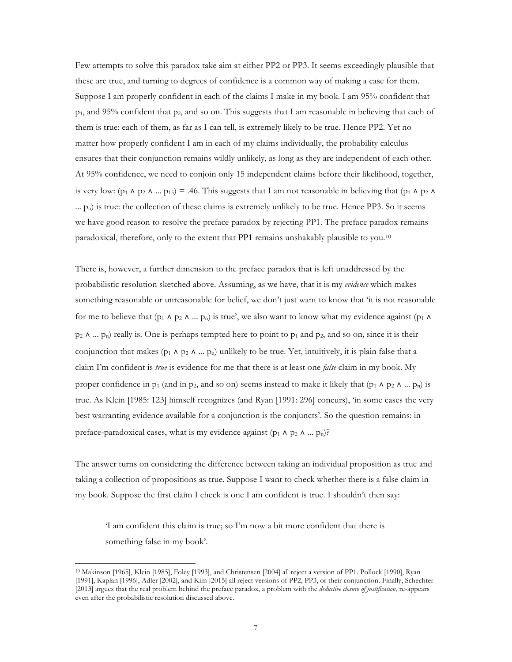Few attempts to solve this paradox take aim at either PP2 or PP3. It seems exceedingly plausible that these are true, and turning to degrees of confidence is a common way of making a case for them. Suppose I am properly confident in each of the claims I make in my book. I am 95% confident that  $p_1$ , and 95% confident that  $p_2$ , and so on. This suggests that I am reasonable in believing that each of them is true: each of them, as far as I can tell, is extremely likely to be true. Hence PP2. Yet no matter how properly confident I am in each of my claims individually, the probability calculus ensures that their conjunction remains wildly unlikely, as long as they are independent of each other. At 95% confidence, we need to conjoin only 15 independent claims before their likelihood, together, is very low: (p<sub>1</sub> ∧ p<sub>2</sub> ∧ ... p<sub>15</sub>) = .46. This suggests that I am not reasonable in believing that (p<sub>1</sub> ∧ p<sub>2</sub> ∧  $\ldots$   $p_n$ ) is true: the collection of these claims is extremely unlikely to be true. Hence PP3. So it seems we have good reason to resolve the preface paradox by rejecting PP1. The preface paradox remains paradoxical, therefore, only to the extent that PP1 remains unshakably plausible to you.10

There is, however, a further dimension to the preface paradox that is left unaddressed by the probabilistic resolution sketched above. Assuming, as we have, that it is my *evidence* which makes something reasonable or unreasonable for belief, we don't just want to know that 'it is not reasonable for me to believe that (p<sub>1</sub>  $\land$  p<sub>2</sub>  $\land$  ... p<sub>n</sub>) is true', we also want to know what my evidence against (p<sub>1</sub>  $\land$ p<sub>2</sub> ∧ ... p<sub>n</sub>) really is. One is perhaps tempted here to point to p<sub>1</sub> and p<sub>2</sub>, and so on, since it is their conjunction that makes (p<sub>1</sub> ∧ p<sub>2</sub> ∧ ... p<sub>n</sub>) unlikely to be true. Yet, intuitively, it is plain false that a claim I'm confident is *true* is evidence for me that there is at least one *false* claim in my book. My proper confidence in p<sub>1</sub> (and in p<sub>2</sub>, and so on) seems instead to make it likely that (p<sub>1</sub> ∧ p<sub>2</sub> ∧ ... p<sub>n</sub>) is true. As Klein [1985: 123] himself recognizes (and Ryan [1991: 296] concurs), 'in some cases the very best warranting evidence available for a conjunction is the conjuncts'. So the question remains: in preface-paradoxical cases, what is my evidence against  $(p_1 \land p_2 \land ... p_n)$ ?

The answer turns on considering the difference between taking an individual proposition as true and taking a collection of propositions as true. Suppose I want to check whether there is a false claim in my book. Suppose the first claim I check is one I am confident is true. I shouldn't then say:

'I am confident this claim is true; so I'm now a bit more confident that there is something false in my book'.

<sup>10</sup> Makinson [1965], Klein [1985], Foley [1993], and Christensen [2004] all reject a version of PP1. Pollock [1990], Ryan [1991], Kaplan [1996], Adler [2002], and Kim [2015] all reject versions of PP2, PP3, or their conjunction. Finally, Schechter [2013] argues that the real problem behind the preface paradox, a problem with the *deductive closure of justification*, re-appears even after the probabilistic resolution discussed above.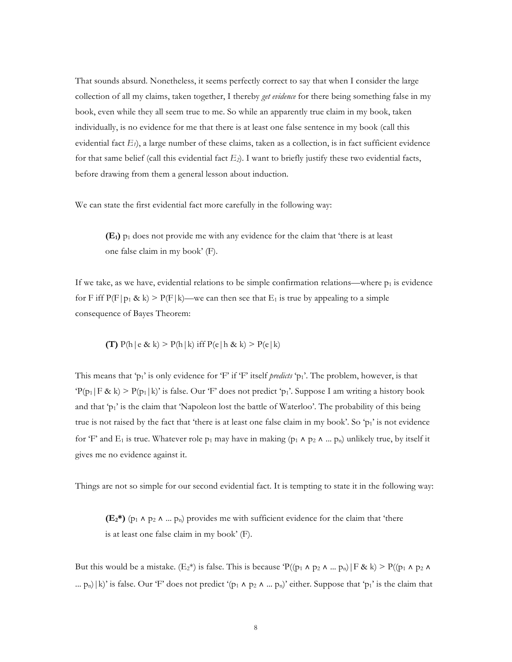That sounds absurd. Nonetheless, it seems perfectly correct to say that when I consider the large collection of all my claims, taken together, I thereby *get evidence* for there being something false in my book, even while they all seem true to me. So while an apparently true claim in my book, taken individually, is no evidence for me that there is at least one false sentence in my book (call this evidential fact  $E_l$ ), a large number of these claims, taken as a collection, is in fact sufficient evidence for that same belief (call this evidential fact  $E_2$ ). I want to briefly justify these two evidential facts, before drawing from them a general lesson about induction.

We can state the first evidential fact more carefully in the following way:

**(E1)** p1 does not provide me with any evidence for the claim that 'there is at least one false claim in my book' (F).

If we take, as we have, evidential relations to be simple confirmation relations—where  $p_1$  is evidence for F iff  $P(F|p_1 \& k)$  >  $P(F|k)$ —we can then see that  $E_1$  is true by appealing to a simple consequence of Bayes Theorem:

$$
\textbf{(T)} \ \mathrm{P(h\,|\,e\;g\,k)} > \mathrm{P(h\,|\,k)} \ \mathrm{iff} \ \mathrm{P(e\,|\,h\;g\,k)} > \mathrm{P(e\,|\,k)}
$$

This means that 'p<sub>1</sub>' is only evidence for 'F' if 'F' itself *predicts* 'p<sub>1</sub>'. The problem, however, is that  $P(p_1|F \& k) > P(p_1|k)$ ' is false. Our 'F' does not predict 'p<sub>1</sub>'. Suppose I am writing a history book and that 'p<sub>1</sub>' is the claim that 'Napoleon lost the battle of Waterloo'. The probability of this being true is not raised by the fact that 'there is at least one false claim in my book'. So 'p<sub>1</sub>' is not evidence for 'F' and E<sub>1</sub> is true. Whatever role p<sub>1</sub> may have in making (p<sub>1</sub> ^ p<sub>2</sub> ^ ... p<sub>n</sub>) unlikely true, by itself it gives me no evidence against it.

Things are not so simple for our second evidential fact. It is tempting to state it in the following way:

**(E2\*)** (p1 ∧ p2 ∧ ... pn) provides me with sufficient evidence for the claim that 'there is at least one false claim in my book' (F).

But this would be a mistake. (E<sub>2</sub>\*) is false. This is because  $P((p_1 \land p_2 \land ... p_n) | F \& k) > P((p_1 \land p_2 \land ... p_n) | F \& k)$ ...  $p_n$ |k)' is false. Our 'F' does not predict '( $p_1 \wedge p_2 \wedge ... p_n$ )' either. Suppose that ' $p_1$ ' is the claim that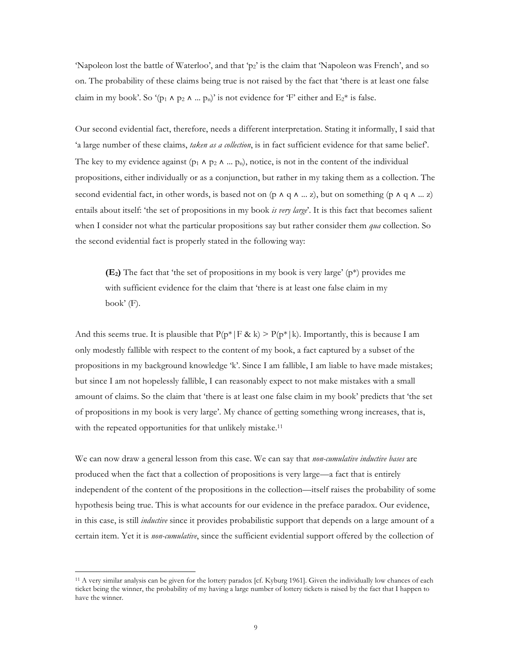'Napoleon lost the battle of Waterloo', and that 'p2' is the claim that 'Napoleon was French', and so on. The probability of these claims being true is not raised by the fact that 'there is at least one false claim in my book'. So '(p<sub>1</sub>  $\wedge$  p<sub>2</sub>  $\wedge$  ... p<sub>n</sub>)' is not evidence for 'F' either and E<sub>2</sub>\* is false.

Our second evidential fact, therefore, needs a different interpretation. Stating it informally, I said that 'a large number of these claims, *taken as a collection*, is in fact sufficient evidence for that same belief'. The key to my evidence against ( $p_1 \wedge p_2 \wedge ... p_n$ ), notice, is not in the content of the individual propositions, either individually or as a conjunction, but rather in my taking them as a collection. The second evidential fact, in other words, is based not on (p  $\land$  q  $\land$  ... z), but on something (p  $\land$  q  $\land$  ... z) entails about itself: 'the set of propositions in my book *is very large*'. It is this fact that becomes salient when I consider not what the particular propositions say but rather consider them *qua* collection. So the second evidential fact is properly stated in the following way:

**(E2)** The fact that 'the set of propositions in my book is very large' (p\*) provides me with sufficient evidence for the claim that 'there is at least one false claim in my book' (F).

And this seems true. It is plausible that  $P(p^*|F \& k) > P(p^*|k)$ . Importantly, this is because I am only modestly fallible with respect to the content of my book, a fact captured by a subset of the propositions in my background knowledge 'k'. Since I am fallible, I am liable to have made mistakes; but since I am not hopelessly fallible, I can reasonably expect to not make mistakes with a small amount of claims. So the claim that 'there is at least one false claim in my book' predicts that 'the set of propositions in my book is very large'. My chance of getting something wrong increases, that is, with the repeated opportunities for that unlikely mistake.<sup>11</sup>

We can now draw a general lesson from this case. We can say that *non-cumulative inductive bases* are produced when the fact that a collection of propositions is very large—a fact that is entirely independent of the content of the propositions in the collection—itself raises the probability of some hypothesis being true. This is what accounts for our evidence in the preface paradox. Our evidence, in this case, is still *inductive* since it provides probabilistic support that depends on a large amount of a certain item. Yet it is *non-cumulative*, since the sufficient evidential support offered by the collection of

<sup>11</sup> A very similar analysis can be given for the lottery paradox [cf. Kyburg 1961]. Given the individually low chances of each ticket being the winner, the probability of my having a large number of lottery tickets is raised by the fact that I happen to have the winner.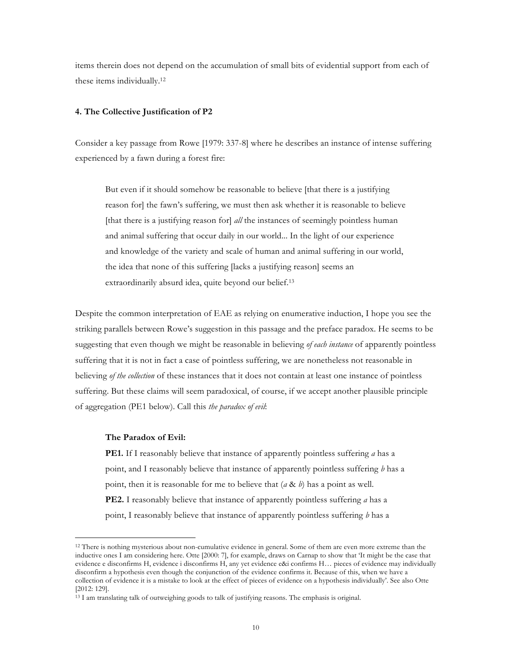items therein does not depend on the accumulation of small bits of evidential support from each of these items individually.12

#### **4. The Collective Justification of P2**

Consider a key passage from Rowe [1979: 337-8] where he describes an instance of intense suffering experienced by a fawn during a forest fire:

But even if it should somehow be reasonable to believe [that there is a justifying reason for] the fawn's suffering, we must then ask whether it is reasonable to believe [that there is a justifying reason for] *all* the instances of seemingly pointless human and animal suffering that occur daily in our world... In the light of our experience and knowledge of the variety and scale of human and animal suffering in our world, the idea that none of this suffering [lacks a justifying reason] seems an extraordinarily absurd idea, quite beyond our belief.13

Despite the common interpretation of EAE as relying on enumerative induction, I hope you see the striking parallels between Rowe's suggestion in this passage and the preface paradox. He seems to be suggesting that even though we might be reasonable in believing *of each instance* of apparently pointless suffering that it is not in fact a case of pointless suffering, we are nonetheless not reasonable in believing *of the collection* of these instances that it does not contain at least one instance of pointless suffering. But these claims will seem paradoxical, of course, if we accept another plausible principle of aggregation (PE1 below). Call this *the paradox of evil*:

### **The Paradox of Evil:**

 $\overline{a}$ 

**PE1.** If I reasonably believe that instance of apparently pointless suffering *a* has a point, and I reasonably believe that instance of apparently pointless suffering *b* has a point, then it is reasonable for me to believe that (*a* & *b*) has a point as well. **PE2.** I reasonably believe that instance of apparently pointless suffering *a* has a point, I reasonably believe that instance of apparently pointless suffering *b* has a

<sup>12</sup> There is nothing mysterious about non-cumulative evidence in general. Some of them are even more extreme than the inductive ones I am considering here. Otte [2000: 7], for example, draws on Carnap to show that 'It might be the case that evidence e disconfirms H, evidence i disconfirms H, any yet evidence e&i confirms H… pieces of evidence may individually disconfirm a hypothesis even though the conjunction of the evidence confirms it. Because of this, when we have a collection of evidence it is a mistake to look at the effect of pieces of evidence on a hypothesis individually'. See also Otte [2012: 129].

<sup>&</sup>lt;sup>13</sup> I am translating talk of outweighing goods to talk of justifying reasons. The emphasis is original.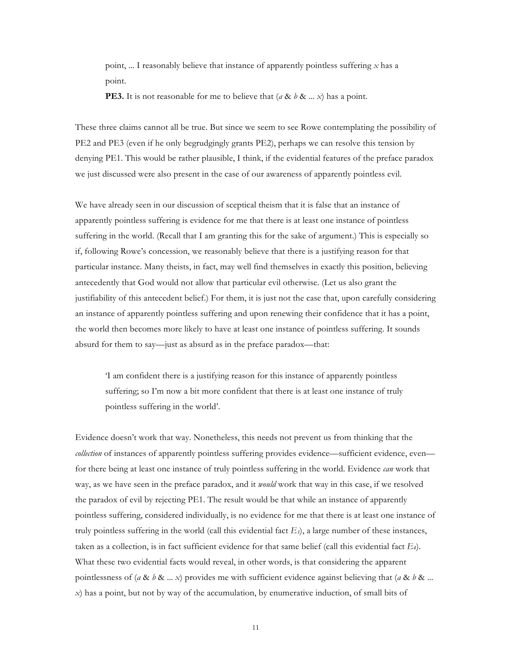point, ... I reasonably believe that instance of apparently pointless suffering *x* has a point.

**PE3.** It is not reasonable for me to believe that (*a* & *b* & ... *x*) has a point.

These three claims cannot all be true. But since we seem to see Rowe contemplating the possibility of PE2 and PE3 (even if he only begrudgingly grants PE2), perhaps we can resolve this tension by denying PE1. This would be rather plausible, I think, if the evidential features of the preface paradox we just discussed were also present in the case of our awareness of apparently pointless evil.

We have already seen in our discussion of sceptical theism that it is false that an instance of apparently pointless suffering is evidence for me that there is at least one instance of pointless suffering in the world. (Recall that I am granting this for the sake of argument.) This is especially so if, following Rowe's concession, we reasonably believe that there is a justifying reason for that particular instance. Many theists, in fact, may well find themselves in exactly this position, believing antecedently that God would not allow that particular evil otherwise. (Let us also grant the justifiability of this antecedent belief.) For them, it is just not the case that, upon carefully considering an instance of apparently pointless suffering and upon renewing their confidence that it has a point, the world then becomes more likely to have at least one instance of pointless suffering. It sounds absurd for them to say—just as absurd as in the preface paradox—that:

'I am confident there is a justifying reason for this instance of apparently pointless suffering; so I'm now a bit more confident that there is at least one instance of truly pointless suffering in the world'.

Evidence doesn't work that way. Nonetheless, this needs not prevent us from thinking that the *collection* of instances of apparently pointless suffering provides evidence—sufficient evidence, even for there being at least one instance of truly pointless suffering in the world. Evidence *can* work that way, as we have seen in the preface paradox, and it *would* work that way in this case, if we resolved the paradox of evil by rejecting PE1. The result would be that while an instance of apparently pointless suffering, considered individually, is no evidence for me that there is at least one instance of truly pointless suffering in the world (call this evidential fact  $E_3$ ), a large number of these instances, taken as a collection, is in fact sufficient evidence for that same belief (call this evidential fact *E4*). What these two evidential facts would reveal, in other words, is that considering the apparent pointlessness of (*a* & *b* & ... *x*) provides me with sufficient evidence against believing that (*a* & *b* & ... *x*) has a point, but not by way of the accumulation, by enumerative induction, of small bits of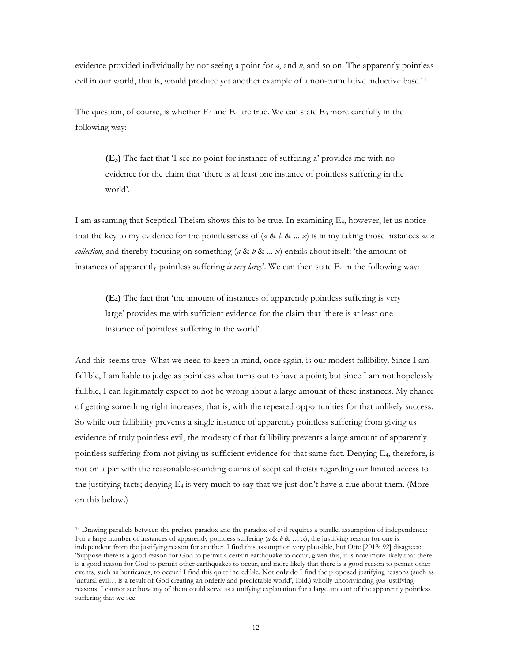evidence provided individually by not seeing a point for *a*, and *b*, and so on. The apparently pointless evil in our world, that is, would produce yet another example of a non-cumulative inductive base.14

The question, of course, is whether  $E_3$  and  $E_4$  are true. We can state  $E_3$  more carefully in the following way:

**(E3)** The fact that 'I see no point for instance of suffering a' provides me with no evidence for the claim that 'there is at least one instance of pointless suffering in the world'.

I am assuming that Sceptical Theism shows this to be true. In examining E4, however, let us notice that the key to my evidence for the pointlessness of  $(a \& b \& \dots x)$  is in my taking those instances *as a collection*, and thereby focusing on something (*a* & *b* & ... *x*) entails about itself: 'the amount of instances of apparently pointless suffering *is very large*'. We can then state E4 in the following way:

**(E4)** The fact that 'the amount of instances of apparently pointless suffering is very large' provides me with sufficient evidence for the claim that 'there is at least one instance of pointless suffering in the world'.

And this seems true. What we need to keep in mind, once again, is our modest fallibility. Since I am fallible, I am liable to judge as pointless what turns out to have a point; but since I am not hopelessly fallible, I can legitimately expect to not be wrong about a large amount of these instances. My chance of getting something right increases, that is, with the repeated opportunities for that unlikely success. So while our fallibility prevents a single instance of apparently pointless suffering from giving us evidence of truly pointless evil, the modesty of that fallibility prevents a large amount of apparently pointless suffering from not giving us sufficient evidence for that same fact. Denying E4, therefore, is not on a par with the reasonable-sounding claims of sceptical theists regarding our limited access to the justifying facts; denying  $E_4$  is very much to say that we just don't have a clue about them. (More on this below.)

<sup>14</sup> Drawing parallels between the preface paradox and the paradox of evil requires a parallel assumption of independence: For a large number of instances of apparently pointless suffering ( $a \& b \& \ldots x$ ), the justifying reason for one is independent from the justifying reason for another. I find this assumption very plausible, but Otte [2013: 92] disagrees: 'Suppose there is a good reason for God to permit a certain earthquake to occur; given this, it is now more likely that there is a good reason for God to permit other earthquakes to occur, and more likely that there is a good reason to permit other events, such as hurricanes, to occur.' I find this quite incredible. Not only do I find the proposed justifying reasons (such as 'natural evil… is a result of God creating an orderly and predictable world', Ibid*.*) wholly unconvincing *qua* justifying reasons, I cannot see how any of them could serve as a unifying explanation for a large amount of the apparently pointless suffering that we see.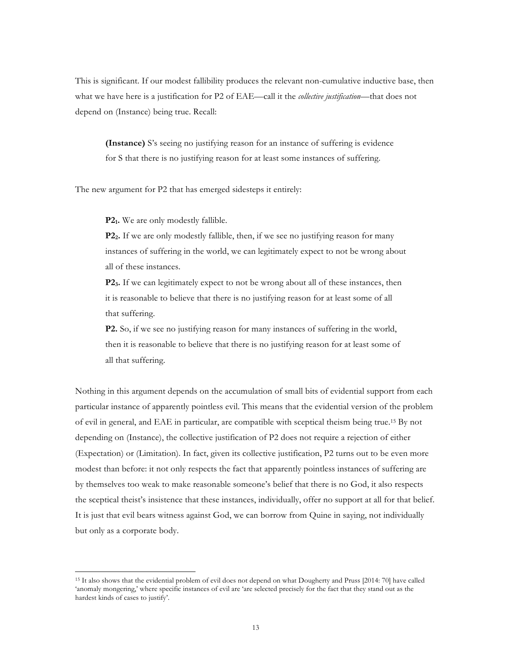This is significant. If our modest fallibility produces the relevant non-cumulative inductive base, then what we have here is a justification for P2 of EAE—call it the *collective justification*—that does not depend on (Instance) being true. Recall:

**(Instance)** S's seeing no justifying reason for an instance of suffering is evidence for S that there is no justifying reason for at least some instances of suffering.

The new argument for P2 that has emerged sidesteps it entirely:

**P21.** We are only modestly fallible.

 $\overline{a}$ 

**P22.** If we are only modestly fallible, then, if we see no justifying reason for many instances of suffering in the world, we can legitimately expect to not be wrong about all of these instances.

**P23.** If we can legitimately expect to not be wrong about all of these instances, then it is reasonable to believe that there is no justifying reason for at least some of all that suffering.

**P2.** So, if we see no justifying reason for many instances of suffering in the world, then it is reasonable to believe that there is no justifying reason for at least some of all that suffering.

Nothing in this argument depends on the accumulation of small bits of evidential support from each particular instance of apparently pointless evil. This means that the evidential version of the problem of evil in general, and EAE in particular, are compatible with sceptical theism being true.15 By not depending on (Instance), the collective justification of P2 does not require a rejection of either (Expectation) or (Limitation). In fact, given its collective justification, P2 turns out to be even more modest than before: it not only respects the fact that apparently pointless instances of suffering are by themselves too weak to make reasonable someone's belief that there is no God, it also respects the sceptical theist's insistence that these instances, individually, offer no support at all for that belief. It is just that evil bears witness against God, we can borrow from Quine in saying, not individually but only as a corporate body.

<sup>15</sup> It also shows that the evidential problem of evil does not depend on what Dougherty and Pruss [2014: 70] have called 'anomaly mongering,' where specific instances of evil are 'are selected precisely for the fact that they stand out as the hardest kinds of cases to justify'.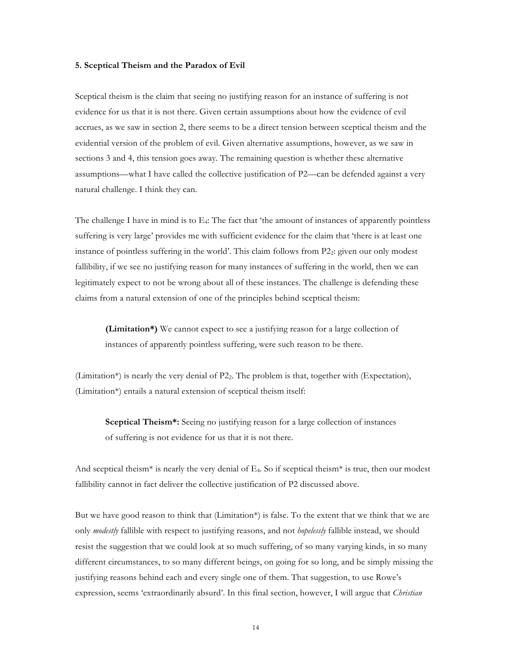#### **5. Sceptical Theism and the Paradox of Evil**

Sceptical theism is the claim that seeing no justifying reason for an instance of suffering is not evidence for us that it is not there. Given certain assumptions about how the evidence of evil accrues, as we saw in section 2, there seems to be a direct tension between sceptical theism and the evidential version of the problem of evil. Given alternative assumptions, however, as we saw in sections 3 and 4, this tension goes away. The remaining question is whether these alternative assumptions—what I have called the collective justification of P2—can be defended against a very natural challenge. I think they can.

The challenge I have in mind is to  $E_4$ : The fact that 'the amount of instances of apparently pointless suffering is very large' provides me with sufficient evidence for the claim that 'there is at least one instance of pointless suffering in the world'. This claim follows from P22: given our only modest fallibility, if we see no justifying reason for many instances of suffering in the world, then we can legitimately expect to not be wrong about all of these instances. The challenge is defending these claims from a natural extension of one of the principles behind sceptical theism:

**(Limitation\*)** We cannot expect to see a justifying reason for a large collection of instances of apparently pointless suffering, were such reason to be there.

(Limitation<sup>\*</sup>) is nearly the very denial of P2<sub>2</sub>. The problem is that, together with (Expectation), (Limitation\*) entails a natural extension of sceptical theism itself:

**Sceptical Theism\*:** Seeing no justifying reason for a large collection of instances of suffering is not evidence for us that it is not there.

And sceptical theism\* is nearly the very denial of E4. So if sceptical theism\* is true, then our modest fallibility cannot in fact deliver the collective justification of P2 discussed above.

But we have good reason to think that  $(Limitation*)$  is false. To the extent that we think that we are only *modestly* fallible with respect to justifying reasons, and not *hopelessly* fallible instead, we should resist the suggestion that we could look at so much suffering, of so many varying kinds, in so many different circumstances, to so many different beings, on going for so long, and be simply missing the justifying reasons behind each and every single one of them. That suggestion, to use Rowe's expression, seems 'extraordinarily absurd'. In this final section, however, I will argue that *Christian*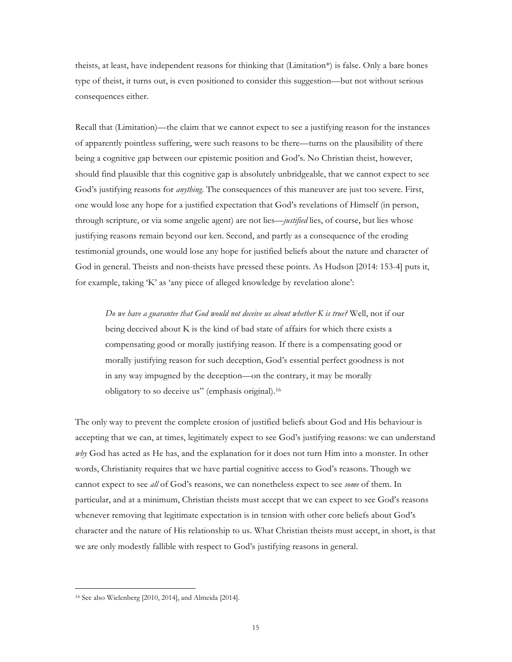theists, at least, have independent reasons for thinking that (Limitation\*) is false. Only a bare bones type of theist, it turns out, is even positioned to consider this suggestion—but not without serious consequences either.

Recall that (Limitation)—the claim that we cannot expect to see a justifying reason for the instances of apparently pointless suffering, were such reasons to be there—turns on the plausibility of there being a cognitive gap between our epistemic position and God's. No Christian theist, however, should find plausible that this cognitive gap is absolutely unbridgeable, that we cannot expect to see God's justifying reasons for *anything*. The consequences of this maneuver are just too severe. First, one would lose any hope for a justified expectation that God's revelations of Himself (in person, through scripture, or via some angelic agent) are not lies—*justified* lies, of course, but lies whose justifying reasons remain beyond our ken. Second, and partly as a consequence of the eroding testimonial grounds, one would lose any hope for justified beliefs about the nature and character of God in general. Theists and non-theists have pressed these points. As Hudson [2014: 153-4] puts it, for example, taking 'K' as 'any piece of alleged knowledge by revelation alone':

*Do we have a guarantee that God would not deceive us about whether K is true?* Well, not if our being deceived about K is the kind of bad state of affairs for which there exists a compensating good or morally justifying reason. If there is a compensating good or morally justifying reason for such deception, God's essential perfect goodness is not in any way impugned by the deception—on the contrary, it may be morally obligatory to so deceive us" (emphasis original).16

The only way to prevent the complete erosion of justified beliefs about God and His behaviour is accepting that we can, at times, legitimately expect to see God's justifying reasons: we can understand *why* God has acted as He has, and the explanation for it does not turn Him into a monster. In other words, Christianity requires that we have partial cognitive access to God's reasons. Though we cannot expect to see *all* of God's reasons, we can nonetheless expect to see *some* of them. In particular, and at a minimum, Christian theists must accept that we can expect to see God's reasons whenever removing that legitimate expectation is in tension with other core beliefs about God's character and the nature of His relationship to us. What Christian theists must accept, in short, is that we are only modestly fallible with respect to God's justifying reasons in general.

<sup>16</sup> See also Wielenberg [2010, 2014], and Almeida [2014].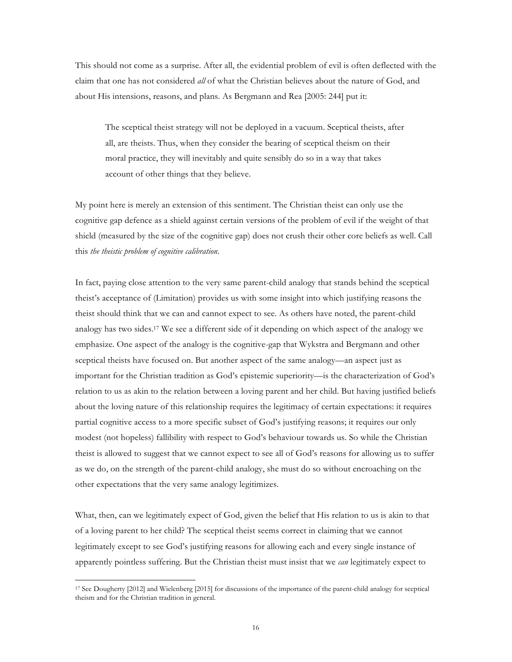This should not come as a surprise. After all, the evidential problem of evil is often deflected with the claim that one has not considered *all* of what the Christian believes about the nature of God, and about His intensions, reasons, and plans. As Bergmann and Rea [2005: 244] put it:

The sceptical theist strategy will not be deployed in a vacuum. Sceptical theists, after all, are theists. Thus, when they consider the bearing of sceptical theism on their moral practice, they will inevitably and quite sensibly do so in a way that takes account of other things that they believe.

My point here is merely an extension of this sentiment. The Christian theist can only use the cognitive gap defence as a shield against certain versions of the problem of evil if the weight of that shield (measured by the size of the cognitive gap) does not crush their other core beliefs as well. Call this *the theistic problem of cognitive calibration*.

In fact, paying close attention to the very same parent-child analogy that stands behind the sceptical theist's acceptance of (Limitation) provides us with some insight into which justifying reasons the theist should think that we can and cannot expect to see. As others have noted, the parent-child analogy has two sides.17 We see a different side of it depending on which aspect of the analogy we emphasize. One aspect of the analogy is the cognitive-gap that Wykstra and Bergmann and other sceptical theists have focused on. But another aspect of the same analogy—an aspect just as important for the Christian tradition as God's epistemic superiority—is the characterization of God's relation to us as akin to the relation between a loving parent and her child. But having justified beliefs about the loving nature of this relationship requires the legitimacy of certain expectations: it requires partial cognitive access to a more specific subset of God's justifying reasons; it requires our only modest (not hopeless) fallibility with respect to God's behaviour towards us. So while the Christian theist is allowed to suggest that we cannot expect to see all of God's reasons for allowing us to suffer as we do, on the strength of the parent-child analogy, she must do so without encroaching on the other expectations that the very same analogy legitimizes.

What, then, can we legitimately expect of God, given the belief that His relation to us is akin to that of a loving parent to her child? The sceptical theist seems correct in claiming that we cannot legitimately except to see God's justifying reasons for allowing each and every single instance of apparently pointless suffering. But the Christian theist must insist that we *can* legitimately expect to

<sup>17</sup> See Dougherty [2012] and Wielenberg [2015] for discussions of the importance of the parent-child analogy for sceptical theism and for the Christian tradition in general.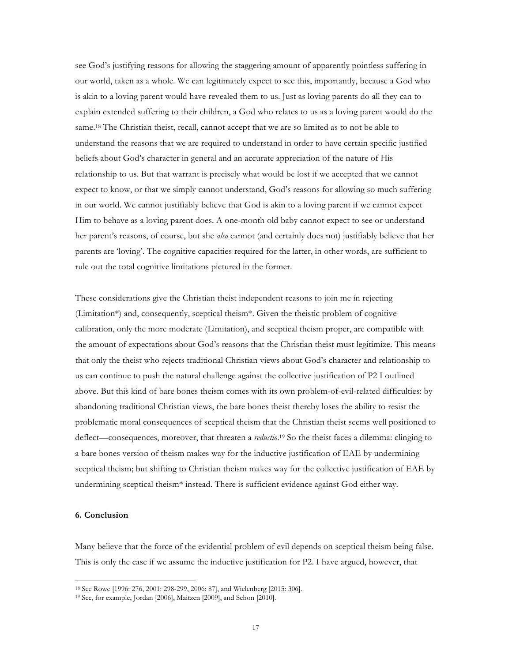see God's justifying reasons for allowing the staggering amount of apparently pointless suffering in our world, taken as a whole. We can legitimately expect to see this, importantly, because a God who is akin to a loving parent would have revealed them to us. Just as loving parents do all they can to explain extended suffering to their children, a God who relates to us as a loving parent would do the same.<sup>18</sup> The Christian theist, recall, cannot accept that we are so limited as to not be able to understand the reasons that we are required to understand in order to have certain specific justified beliefs about God's character in general and an accurate appreciation of the nature of His relationship to us. But that warrant is precisely what would be lost if we accepted that we cannot expect to know, or that we simply cannot understand, God's reasons for allowing so much suffering in our world. We cannot justifiably believe that God is akin to a loving parent if we cannot expect Him to behave as a loving parent does. A one-month old baby cannot expect to see or understand her parent's reasons, of course, but she *also* cannot (and certainly does not) justifiably believe that her parents are 'loving'. The cognitive capacities required for the latter, in other words, are sufficient to rule out the total cognitive limitations pictured in the former.

These considerations give the Christian theist independent reasons to join me in rejecting (Limitation\*) and, consequently, sceptical theism\*. Given the theistic problem of cognitive calibration, only the more moderate (Limitation), and sceptical theism proper, are compatible with the amount of expectations about God's reasons that the Christian theist must legitimize. This means that only the theist who rejects traditional Christian views about God's character and relationship to us can continue to push the natural challenge against the collective justification of P2 I outlined above. But this kind of bare bones theism comes with its own problem-of-evil-related difficulties: by abandoning traditional Christian views, the bare bones theist thereby loses the ability to resist the problematic moral consequences of sceptical theism that the Christian theist seems well positioned to deflect—consequences, moreover, that threaten a *reductio*. <sup>19</sup> So the theist faces a dilemma: clinging to a bare bones version of theism makes way for the inductive justification of EAE by undermining sceptical theism; but shifting to Christian theism makes way for the collective justification of EAE by undermining sceptical theism\* instead. There is sufficient evidence against God either way.

## **6. Conclusion**

 $\overline{a}$ 

Many believe that the force of the evidential problem of evil depends on sceptical theism being false. This is only the case if we assume the inductive justification for P2. I have argued, however, that

<sup>18</sup> See Rowe [1996: 276, 2001: 298-299, 2006: 87], and Wielenberg [2015: 306].

<sup>19</sup> See, for example, Jordan [2006], Maitzen [2009], and Sehon [2010].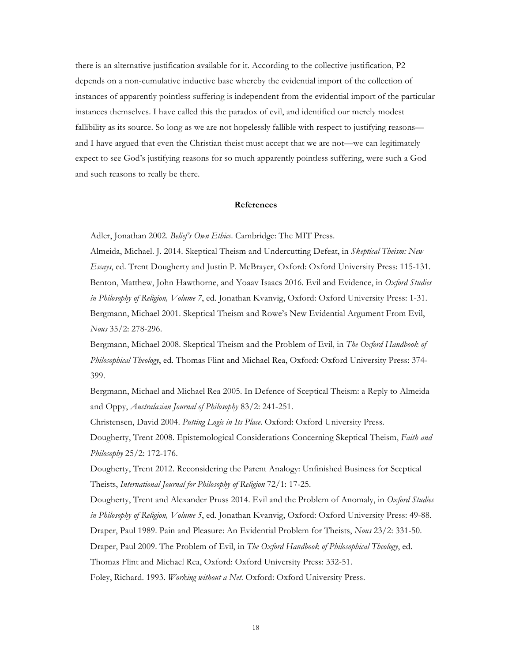there is an alternative justification available for it. According to the collective justification, P2 depends on a non-cumulative inductive base whereby the evidential import of the collection of instances of apparently pointless suffering is independent from the evidential import of the particular instances themselves. I have called this the paradox of evil, and identified our merely modest fallibility as its source. So long as we are not hopelessly fallible with respect to justifying reasons and I have argued that even the Christian theist must accept that we are not—we can legitimately expect to see God's justifying reasons for so much apparently pointless suffering, were such a God and such reasons to really be there.

#### **References**

Adler, Jonathan 2002. *Belief's Own Ethics*. Cambridge: The MIT Press.

Almeida, Michael. J. 2014. Skeptical Theism and Undercutting Defeat, in *Skeptical Theism: New Essays*, ed. Trent Dougherty and Justin P. McBrayer, Oxford: Oxford University Press: 115-131. Benton, Matthew, John Hawthorne, and Yoaav Isaacs 2016. Evil and Evidence, in *Oxford Studies in Philosophy of Religion, Volume 7*, ed. Jonathan Kvanvig, Oxford: Oxford University Press: 1-31. Bergmann, Michael 2001. Skeptical Theism and Rowe's New Evidential Argument From Evil, *Nous* 35/2: 278-296.

Bergmann, Michael 2008. Skeptical Theism and the Problem of Evil, in *The Oxford Handbook of Philosophical Theology*, ed. Thomas Flint and Michael Rea, Oxford: Oxford University Press: 374- 399.

Bergmann, Michael and Michael Rea 2005. In Defence of Sceptical Theism: a Reply to Almeida and Oppy, *Australasian Journal of Philosophy* 83/2: 241-251.

Christensen, David 2004. *Putting Logic in Its Place*. Oxford: Oxford University Press. Dougherty, Trent 2008. Epistemological Considerations Concerning Skeptical Theism, *Faith and Philosophy* 25/2: 172-176.

Dougherty, Trent 2012. Reconsidering the Parent Analogy: Unfinished Business for Sceptical Theists, *International Journal for Philosophy of Religion* 72/1: 17-25.

Dougherty, Trent and Alexander Pruss 2014. Evil and the Problem of Anomaly, in *Oxford Studies in Philosophy of Religion, Volume 5*, ed. Jonathan Kvanvig, Oxford: Oxford University Press: 49-88. Draper, Paul 1989. Pain and Pleasure: An Evidential Problem for Theists, *Nous* 23/2: 331-50. Draper, Paul 2009. The Problem of Evil, in *The Oxford Handbook of Philosophical Theology*, ed. Thomas Flint and Michael Rea, Oxford: Oxford University Press: 332-51. Foley, Richard. 1993. *Working without a Net*. Oxford: Oxford University Press.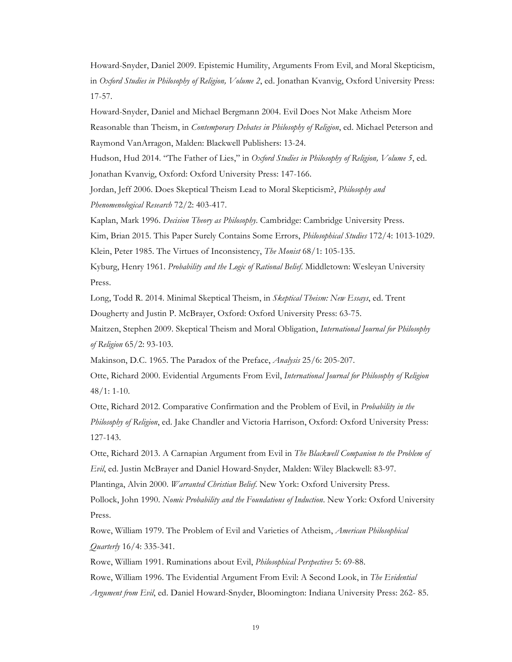Howard-Snyder, Daniel 2009. Epistemic Humility, Arguments From Evil, and Moral Skepticism, in *Oxford Studies in Philosophy of Religion, Volume 2*, ed. Jonathan Kvanvig, Oxford University Press: 17-57.

Howard-Snyder, Daniel and Michael Bergmann 2004. Evil Does Not Make Atheism More Reasonable than Theism, in *Contemporary Debates in Philosophy of Religion*, ed. Michael Peterson and Raymond VanArragon, Malden: Blackwell Publishers: 13-24.

Hudson, Hud 2014. "The Father of Lies," in *Oxford Studies in Philosophy of Religion, Volume 5*, ed. Jonathan Kvanvig, Oxford: Oxford University Press: 147-166.

Jordan, Jeff 2006. Does Skeptical Theism Lead to Moral Skepticism?, *Philosophy and Phenomenological Research* 72/2: 403-417.

Kaplan, Mark 1996. *Decision Theory as Philosophy*. Cambridge: Cambridge University Press. Kim, Brian 2015. This Paper Surely Contains Some Errors, *Philosophical Studies* 172/4: 1013-1029. Klein, Peter 1985. The Virtues of Inconsistency, *The Monist* 68/1: 105-135.

Kyburg, Henry 1961. *Probability and the Logic of Rational Belief*. Middletown: Wesleyan University Press.

Long, Todd R. 2014. Minimal Skeptical Theism, in *Skeptical Theism: New Essays*, ed. Trent Dougherty and Justin P. McBrayer, Oxford: Oxford University Press: 63-75.

Maitzen, Stephen 2009. Skeptical Theism and Moral Obligation, *International Journal for Philosophy of Religion* 65/2: 93-103.

Makinson, D.C. 1965. The Paradox of the Preface, *Analysis* 25/6: 205-207.

Otte, Richard 2000. Evidential Arguments From Evil, *International Journal for Philosophy of Religion* 48/1: 1-10.

Otte, Richard 2012. Comparative Confirmation and the Problem of Evil, in *Probability in the Philosophy of Religion*, ed. Jake Chandler and Victoria Harrison, Oxford: Oxford University Press: 127-143.

Otte, Richard 2013. A Carnapian Argument from Evil in *The Blackwell Companion to the Problem of Evil*, ed. Justin McBrayer and Daniel Howard-Snyder, Malden: Wiley Blackwell: 83-97.

Plantinga, Alvin 2000. *Warranted Christian Belief*. New York: Oxford University Press.

Pollock, John 1990. *Nomic Probability and the Foundations of Induction*. New York: Oxford University Press.

Rowe, William 1979. The Problem of Evil and Varieties of Atheism, *American Philosophical Quarterly* 16/4: 335-341.

Rowe, William 1991. Ruminations about Evil, *Philosophical Perspectives* 5: 69-88.

Rowe, William 1996. The Evidential Argument From Evil: A Second Look, in *The Evidential Argument from Evil*, ed. Daniel Howard-Snyder, Bloomington: Indiana University Press: 262- 85.